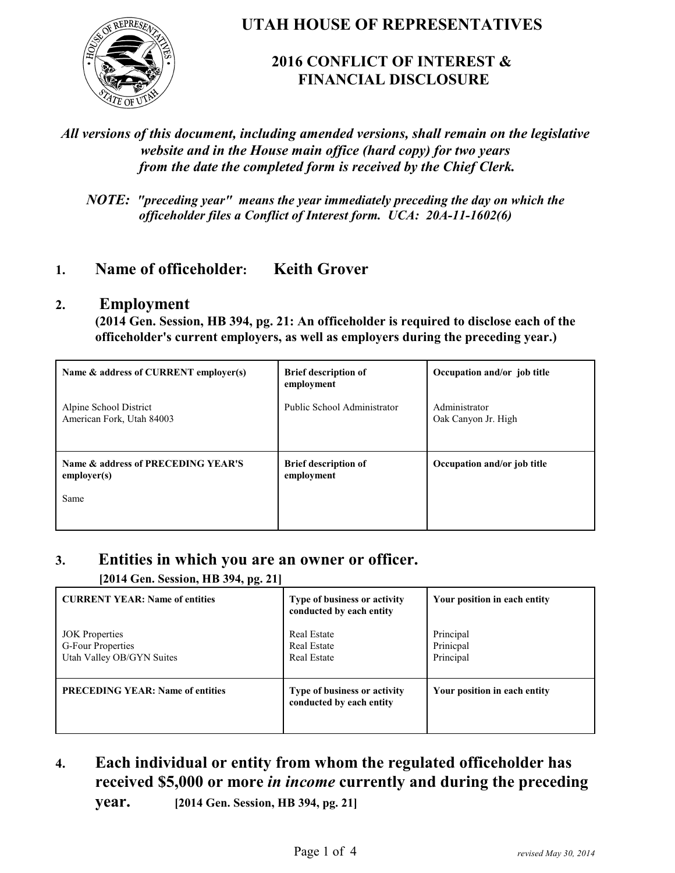

**UTAH HOUSE OF REPRESENTATIVES**

### **2016 CONFLICT OF INTEREST & FINANCIAL DISCLOSURE**

#### *All versions of this document, including amended versions, shall remain on the legislative website and in the House main office (hard copy) for two years from the date the completed form is received by the Chief Clerk.*

*NOTE: "preceding year" means the year immediately preceding the day on which the officeholder files a Conflict of Interest form. UCA: 20A-11-1602(6)*

### **1. Name of officeholder: Keith Grover**

#### **2. Employment**

**(2014 Gen. Session, HB 394, pg. 21: An officeholder is required to disclose each of the officeholder's current employers, as well as employers during the preceding year.)**

| Name & address of CURRENT employer(s)               | <b>Brief description of</b><br>employment | Occupation and/or job title          |
|-----------------------------------------------------|-------------------------------------------|--------------------------------------|
| Alpine School District<br>American Fork, Utah 84003 | Public School Administrator               | Administrator<br>Oak Canyon Jr. High |
| Name & address of PRECEDING YEAR'S<br>emplover(s)   | <b>Brief description of</b><br>employment | Occupation and/or job title          |
| Same                                                |                                           |                                      |

#### **3. Entities in which you are an owner or officer.**

**[2014 Gen. Session, HB 394, pg. 21]**

| <b>CURRENT YEAR: Name of entities</b>                                   | Type of business or activity<br>conducted by each entity       | Your position in each entity        |
|-------------------------------------------------------------------------|----------------------------------------------------------------|-------------------------------------|
| <b>JOK</b> Properties<br>G-Four Properties<br>Utah Valley OB/GYN Suites | <b>Real Estate</b><br><b>Real Estate</b><br><b>Real Estate</b> | Principal<br>Prinicpal<br>Principal |
| <b>PRECEDING YEAR: Name of entities</b>                                 | Type of business or activity<br>conducted by each entity       | Your position in each entity        |

**4. Each individual or entity from whom the regulated officeholder has received \$5,000 or more** *in income* **currently and during the preceding**

**year. [2014 Gen. Session, HB 394, pg. 21]**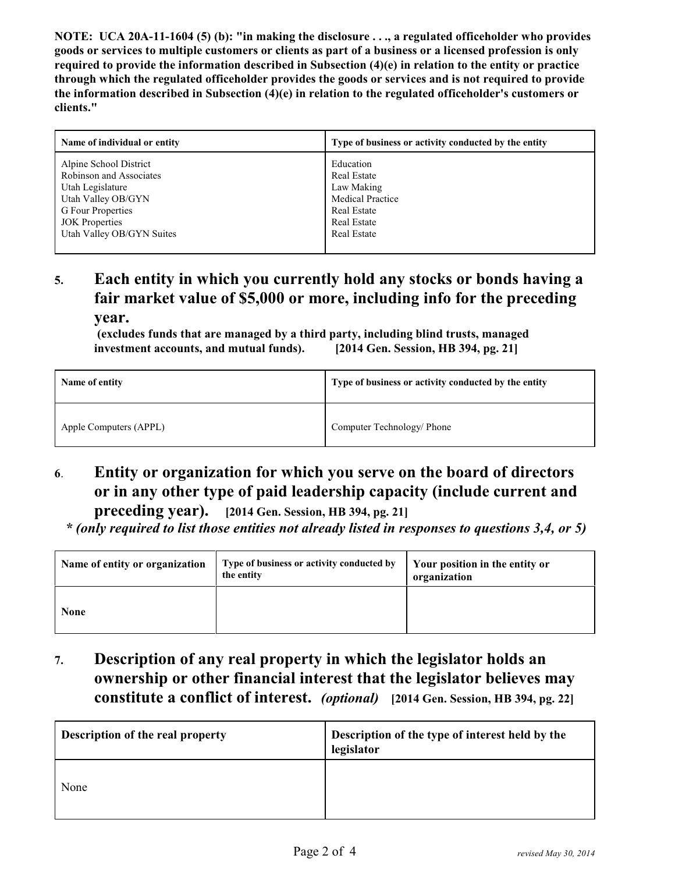**NOTE: UCA 20A-11-1604 (5) (b): "in making the disclosure . . ., a regulated officeholder who provides goods or services to multiple customers or clients as part of a business or a licensed profession is only required to provide the information described in Subsection (4)(e) in relation to the entity or practice through which the regulated officeholder provides the goods or services and is not required to provide the information described in Subsection (4)(e) in relation to the regulated officeholder's customers or clients."**

| Name of individual or entity | Type of business or activity conducted by the entity |
|------------------------------|------------------------------------------------------|
| Alpine School District       | Education                                            |
| Robinson and Associates      | <b>Real Estate</b>                                   |
| Utah Legislature             | Law Making                                           |
| Utah Valley OB/GYN           | <b>Medical Practice</b>                              |
| G Four Properties            | <b>Real Estate</b>                                   |
| <b>JOK</b> Properties        | <b>Real Estate</b>                                   |
| Utah Valley OB/GYN Suites    | <b>Real Estate</b>                                   |
|                              |                                                      |

# **5. Each entity in which you currently hold any stocks or bonds having a fair market value of \$5,000 or more, including info for the preceding**

**year.**

 **(excludes funds that are managed by a third party, including blind trusts, managed investment accounts, and mutual funds). [2014 Gen. Session, HB 394, pg. 21]**

| Name of entity         | Type of business or activity conducted by the entity |
|------------------------|------------------------------------------------------|
| Apple Computers (APPL) | Computer Technology/ Phone                           |

## **6**. **Entity or organization for which you serve on the board of directors or in any other type of paid leadership capacity (include current and**

**preceding year). [2014 Gen. Session, HB 394, pg. 21]**

 *\* (only required to list those entities not already listed in responses to questions 3,4, or 5)*

| Name of entity or organization | Type of business or activity conducted by<br>the entity | Your position in the entity or<br>organization |
|--------------------------------|---------------------------------------------------------|------------------------------------------------|
| <b>None</b>                    |                                                         |                                                |

**7. Description of any real property in which the legislator holds an ownership or other financial interest that the legislator believes may constitute a conflict of interest.** *(optional)* **[2014 Gen. Session, HB 394, pg. 22]**

| Description of the real property | Description of the type of interest held by the<br>legislator |
|----------------------------------|---------------------------------------------------------------|
| None                             |                                                               |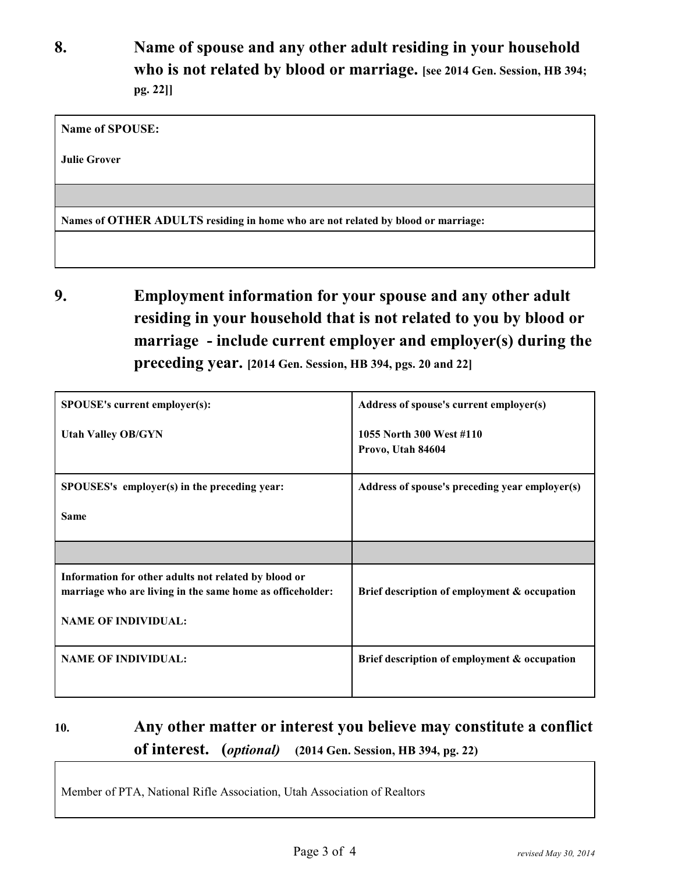**8. Name of spouse and any other adult residing in your household who is not related by blood or marriage. [see 2014 Gen. Session, HB 394; pg. 22]]**

**Name of SPOUSE:** 

**Julie Grover**

**Names of OTHER ADULTS residing in home who are not related by blood or marriage:**

**9. Employment information for your spouse and any other adult residing in your household that is not related to you by blood or marriage - include current employer and employer(s) during the preceding year. [2014 Gen. Session, HB 394, pgs. 20 and 22]**

| SPOUSE's current employer(s):                                                                                                                   | Address of spouse's current employer(s)        |
|-------------------------------------------------------------------------------------------------------------------------------------------------|------------------------------------------------|
| <b>Utah Valley OB/GYN</b>                                                                                                                       | 1055 North 300 West #110<br>Provo, Utah 84604  |
| SPOUSES's employer(s) in the preceding year:                                                                                                    | Address of spouse's preceding year employer(s) |
| <b>Same</b>                                                                                                                                     |                                                |
|                                                                                                                                                 |                                                |
| Information for other adults not related by blood or<br>marriage who are living in the same home as officeholder:<br><b>NAME OF INDIVIDUAL:</b> | Brief description of employment & occupation   |
|                                                                                                                                                 |                                                |
| <b>NAME OF INDIVIDUAL:</b>                                                                                                                      | Brief description of employment & occupation   |

## **10. Any other matter or interest you believe may constitute a conflict of interest. (***optional)* **(2014 Gen. Session, HB 394, pg. 22)**

Member of PTA, National Rifle Association, Utah Association of Realtors